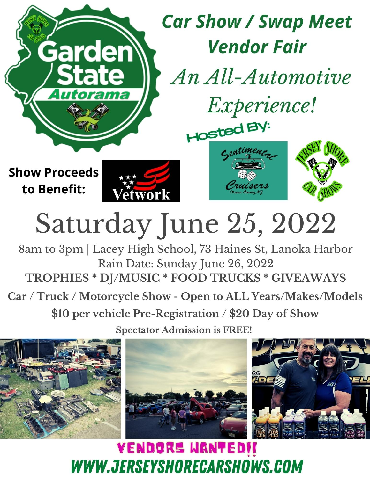

# Saturday June 25, 2022

8am to 3pm | Lacey High School, 73 Haines St, Lanoka Harbor Rain Date: Sunday June 26, 2022 TROPHIES \* DJ/MUSIC \* FOOD TRUCKS \* GIVEAWAYS

Car / Truck / Motorcycle Show - Open to ALL Years/Makes/Models

\$10 per vehicle Pre-Registration / \$20 Day of Show

**Spectator Admission is FREE!** 



**VENDORS WANTEDIT** WWW.JERSEYSHORECARSHOWS.COM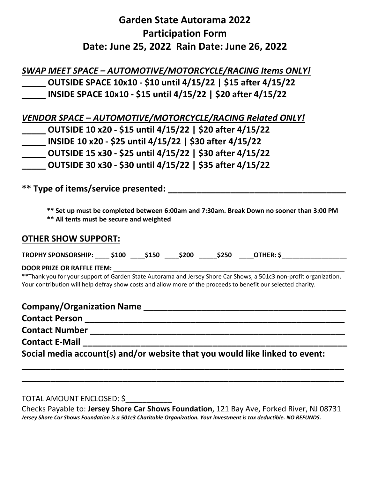## **Garden State Autorama 2022 Participation Form Date: June 25, 2022 Rain Date: June 26, 2022**

*SWAP MEET SPACE – AUTOMOTIVE/MOTORCYCLE/RACING Items ONLY!* **\_\_\_\_\_ OUTSIDE SPACE 10x10 - \$10 until 4/15/22 | \$15 after 4/15/22 \_\_\_\_\_ INSIDE SPACE 10x10 - \$15 until 4/15/22 | \$20 after 4/15/22**

| VENDOR SPACE - AUTOMOTIVE/MOTORCYCLE/RACING Related ONLY! |
|-----------------------------------------------------------|
| OUTSIDE 10 x20 - \$15 until 4/15/22   \$20 after 4/15/22  |
| INSIDE 10 x20 - \$25 until 4/15/22   \$30 after 4/15/22   |
| OUTSIDE 15 x30 - \$25 until 4/15/22   \$30 after 4/15/22  |
| OUTSIDE 30 x30 - \$30 until 4/15/22   \$35 after 4/15/22  |

\*\* Type of items/service presented:

 **\*\* Set up must be completed between 6:00am and 7:30am. Break Down no sooner than 3:00 PM**

 **\*\* All tents must be secure and weighted**

#### **OTHER SHOW SUPPORT:**

**TROPHY SPONSORSHIP: \_\_\_\_ \$100 \_\_\_\_\$150 \_\_\_\_\$200 \_\_\_\_\_\$250 \_\_\_\_OTHER: \$\_\_\_\_\_\_\_\_\_\_\_\_\_\_\_\_\_\_**

DOOR PRIZE OR RAFFLE ITEM:

\*\*Thank you for your support of Garden State Autorama and Jersey Shore Car Shows, a 501c3 non-profit organization. Your contribution will help defray show costs and allow more of the proceeds to benefit our selected charity.

| <b>Company/Organization Name</b>                                            |
|-----------------------------------------------------------------------------|
| <b>Contact Person</b>                                                       |
| <b>Contact Number</b>                                                       |
| <b>Contact E-Mail</b>                                                       |
| Social media account(s) and/or website that you would like linked to event: |

TOTAL AMOUNT ENCLOSED: \$\_\_\_\_\_\_\_\_\_\_\_

Checks Payable to: **Jersey Shore Car Shows Foundation**, 121 Bay Ave, Forked River, NJ 08731 *Jersey Shore Car Shows Foundation is a 501c3 Charitable Organization. Your investment is tax deductible. NO REFUNDS.*

**\_\_\_\_\_\_\_\_\_\_\_\_\_\_\_\_\_\_\_\_\_\_\_\_\_\_\_\_\_\_\_\_\_\_\_\_\_\_\_\_\_\_\_\_\_\_\_\_\_\_\_\_\_\_\_\_\_\_\_\_\_\_\_\_\_\_\_**